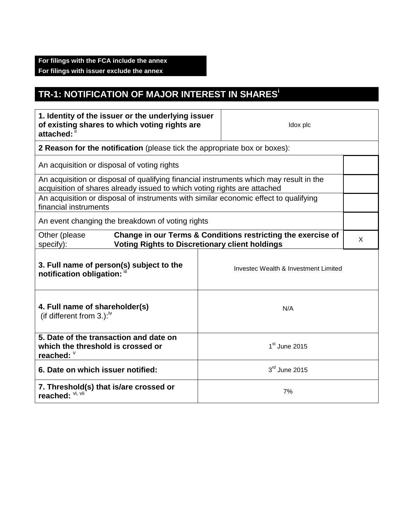## **For filings with the FCA include the annex For filings with issuer exclude the annex**

## **TR-1: NOTIFICATION OF MAJOR INTEREST IN SHARES<sup>i</sup>**

| 1. Identity of the issuer or the underlying issuer<br>of existing shares to which voting rights are<br>attached:                                                   |                 | Idox plc                             |   |  |
|--------------------------------------------------------------------------------------------------------------------------------------------------------------------|-----------------|--------------------------------------|---|--|
| 2 Reason for the notification (please tick the appropriate box or boxes):                                                                                          |                 |                                      |   |  |
| An acquisition or disposal of voting rights                                                                                                                        |                 |                                      |   |  |
| An acquisition or disposal of qualifying financial instruments which may result in the<br>acquisition of shares already issued to which voting rights are attached |                 |                                      |   |  |
| An acquisition or disposal of instruments with similar economic effect to qualifying<br>financial instruments                                                      |                 |                                      |   |  |
| An event changing the breakdown of voting rights                                                                                                                   |                 |                                      |   |  |
| Change in our Terms & Conditions restricting the exercise of<br>Other (please<br><b>Voting Rights to Discretionary client holdings</b><br>specify):                |                 |                                      | X |  |
| 3. Full name of person(s) subject to the<br>notification obligation: "                                                                                             |                 | Investec Wealth & Investment Limited |   |  |
| 4. Full name of shareholder(s)<br>(if different from 3.): $\sqrt{v}$                                                                                               | N/A             |                                      |   |  |
| 5. Date of the transaction and date on<br>$1st$ June 2015<br>which the threshold is crossed or<br>reached: $\degree$                                               |                 |                                      |   |  |
| 6. Date on which issuer notified:                                                                                                                                  | $3rd$ June 2015 |                                      |   |  |
| 7. Threshold(s) that is/are crossed or<br>7%<br>reached: Vi, Vii                                                                                                   |                 |                                      |   |  |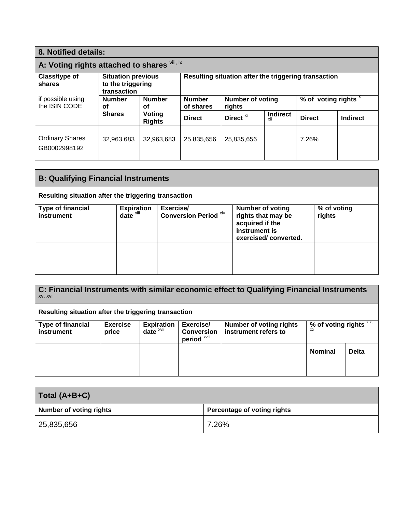| 8. Notified details:                                                             |                                                               |                                   |                                                      |                                 |                        |               |                 |
|----------------------------------------------------------------------------------|---------------------------------------------------------------|-----------------------------------|------------------------------------------------------|---------------------------------|------------------------|---------------|-----------------|
| A: Voting rights attached to shares Vili, ix                                     |                                                               |                                   |                                                      |                                 |                        |               |                 |
| Class/type of<br>shares                                                          | <b>Situation previous</b><br>to the triggering<br>transaction |                                   | Resulting situation after the triggering transaction |                                 |                        |               |                 |
| if possible using<br><b>Number</b><br><b>Number</b><br>the ISIN CODE<br>οf<br>Οf | <b>Number</b><br>of shares                                    | <b>Number of voting</b><br>rights |                                                      | % of voting rights <sup>x</sup> |                        |               |                 |
|                                                                                  | <b>Shares</b>                                                 | Voting<br><b>Rights</b>           | <b>Direct</b>                                        | Direct <sup>xi</sup>            | <b>Indirect</b><br>XII | <b>Direct</b> | <b>Indirect</b> |
| <b>Ordinary Shares</b><br>GB0002998192                                           | 32,963,683                                                    | 32,963,683                        | 25,835,656                                           | 25,835,656                      |                        | 7.26%         |                 |

| <b>B: Qualifying Financial Instruments</b>           |                                               |                                           |                                                                                                           |                       |  |
|------------------------------------------------------|-----------------------------------------------|-------------------------------------------|-----------------------------------------------------------------------------------------------------------|-----------------------|--|
| Resulting situation after the triggering transaction |                                               |                                           |                                                                                                           |                       |  |
| <b>Type of financial</b><br>instrument               | <b>Expiration</b><br>$date^{\overline{x}iii}$ | Exercise/<br><b>Conversion Period Xiv</b> | <b>Number of voting</b><br>rights that may be<br>acquired if the<br>instrument is<br>exercised/converted. | % of voting<br>rights |  |
|                                                      |                                               |                                           |                                                                                                           |                       |  |

**C: Financial Instruments with similar economic effect to Qualifying Financial Instruments** xv, xvi **Resulting situation after the triggering transaction Type of financial instrument Exercise price Expiration date** xvii **Exercise/ Conversion period** xviii **Number of voting rights instrument refers to** % of voting rights **xix**, **Nominal Delta**

| Total (A+B+C)                  |                             |  |  |
|--------------------------------|-----------------------------|--|--|
| <b>Number of voting rights</b> | Percentage of voting rights |  |  |
| 25,835,656                     | 7.26%                       |  |  |